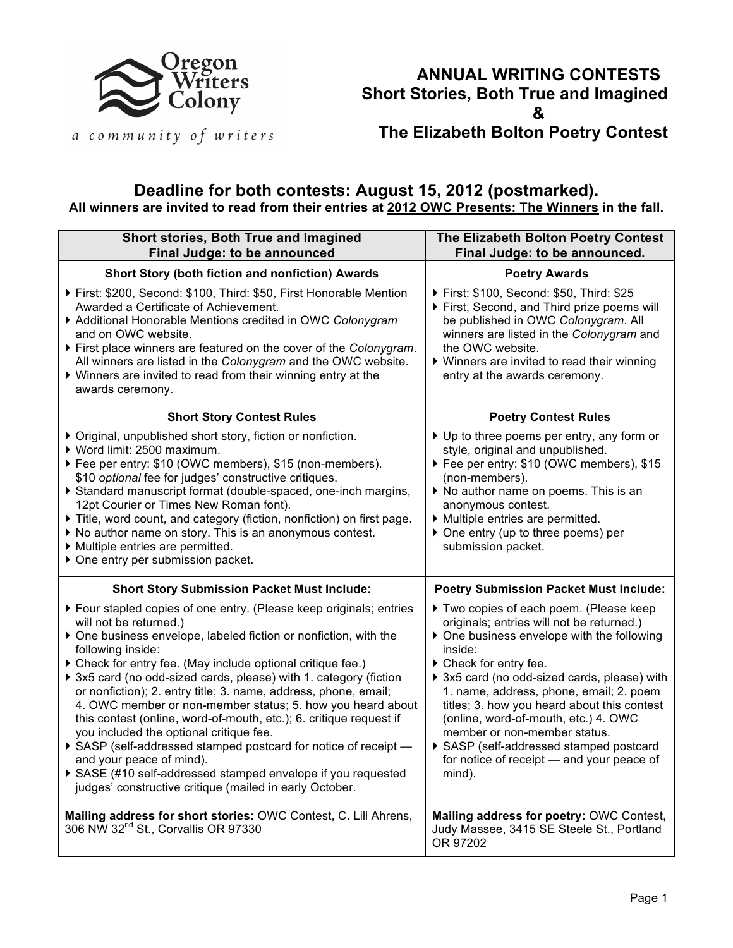

## **ANNUAL WRITING CONTESTS Short Stories, Both True and Imagined & The Elizabeth Bolton Poetry Contest**

a community of writers

## **Deadline for both contests: August 15, 2012 (postmarked). All winners are invited to read from their entries at 2012 OWC Presents: The Winners in the fall.**

| Short stories, Both True and Imagined<br>Final Judge: to be announced                                                                                                                                                                                                                                                                                                                                                                                                                                                                                                                                                                                                                                                                                                                            | The Elizabeth Bolton Poetry Contest<br>Final Judge: to be announced.                                                                                                                                                                                                                                                                                                                                                                                                                  |
|--------------------------------------------------------------------------------------------------------------------------------------------------------------------------------------------------------------------------------------------------------------------------------------------------------------------------------------------------------------------------------------------------------------------------------------------------------------------------------------------------------------------------------------------------------------------------------------------------------------------------------------------------------------------------------------------------------------------------------------------------------------------------------------------------|---------------------------------------------------------------------------------------------------------------------------------------------------------------------------------------------------------------------------------------------------------------------------------------------------------------------------------------------------------------------------------------------------------------------------------------------------------------------------------------|
| Short Story (both fiction and nonfiction) Awards                                                                                                                                                                                                                                                                                                                                                                                                                                                                                                                                                                                                                                                                                                                                                 | <b>Poetry Awards</b>                                                                                                                                                                                                                                                                                                                                                                                                                                                                  |
| First: \$200, Second: \$100, Third: \$50, First Honorable Mention<br>Awarded a Certificate of Achievement.<br>Additional Honorable Mentions credited in OWC Colonygram<br>and on OWC website.<br>First place winners are featured on the cover of the Colonygram.<br>All winners are listed in the Colonygram and the OWC website.<br>▶ Winners are invited to read from their winning entry at the<br>awards ceremony.                                                                                                                                                                                                                                                                                                                                                                          | First: \$100, Second: \$50, Third: \$25<br>First, Second, and Third prize poems will<br>be published in OWC Colonygram. All<br>winners are listed in the Colonygram and<br>the OWC website.<br>▶ Winners are invited to read their winning<br>entry at the awards ceremony.                                                                                                                                                                                                           |
| <b>Short Story Contest Rules</b>                                                                                                                                                                                                                                                                                                                                                                                                                                                                                                                                                                                                                                                                                                                                                                 | <b>Poetry Contest Rules</b>                                                                                                                                                                                                                                                                                                                                                                                                                                                           |
| ▶ Original, unpublished short story, fiction or nonfiction.<br>▶ Word limit: 2500 maximum.<br>Fee per entry: \$10 (OWC members), \$15 (non-members).<br>\$10 optional fee for judges' constructive critiques.<br>Standard manuscript format (double-spaced, one-inch margins,<br>12pt Courier or Times New Roman font).<br>Title, word count, and category (fiction, nonfiction) on first page.<br>▶ No author name on story. This is an anonymous contest.<br>Multiple entries are permitted.<br>▶ One entry per submission packet.                                                                                                                                                                                                                                                             | ▶ Up to three poems per entry, any form or<br>style, original and unpublished.<br>Fee per entry: \$10 (OWC members), \$15<br>(non-members).<br>▶ No author name on poems. This is an<br>anonymous contest.<br>Multiple entries are permitted.<br>▶ One entry (up to three poems) per<br>submission packet.                                                                                                                                                                            |
| <b>Short Story Submission Packet Must Include:</b>                                                                                                                                                                                                                                                                                                                                                                                                                                                                                                                                                                                                                                                                                                                                               | <b>Poetry Submission Packet Must Include:</b>                                                                                                                                                                                                                                                                                                                                                                                                                                         |
| ▶ Four stapled copies of one entry. (Please keep originals; entries<br>will not be returned.)<br>• One business envelope, labeled fiction or nonfiction, with the<br>following inside:<br>Check for entry fee. (May include optional critique fee.)<br>▶ 3x5 card (no odd-sized cards, please) with 1. category (fiction<br>or nonfiction); 2. entry title; 3. name, address, phone, email;<br>4. OWC member or non-member status; 5. how you heard about<br>this contest (online, word-of-mouth, etc.); 6. critique request if<br>you included the optional critique fee.<br>SASP (self-addressed stamped postcard for notice of receipt -<br>and your peace of mind).<br>SASE (#10 self-addressed stamped envelope if you requested<br>judges' constructive critique (mailed in early October. | Two copies of each poem. (Please keep<br>originals; entries will not be returned.)<br>▶ One business envelope with the following<br>inside:<br>Check for entry fee.<br>> 3x5 card (no odd-sized cards, please) with<br>1. name, address, phone, email; 2. poem<br>titles; 3. how you heard about this contest<br>(online, word-of-mouth, etc.) 4. OWC<br>member or non-member status.<br>SASP (self-addressed stamped postcard<br>for notice of receipt - and your peace of<br>mind). |
| Mailing address for short stories: OWC Contest, C. Lill Ahrens,<br>306 NW 32 <sup>nd</sup> St., Corvallis OR 97330                                                                                                                                                                                                                                                                                                                                                                                                                                                                                                                                                                                                                                                                               | Mailing address for poetry: OWC Contest,<br>Judy Massee, 3415 SE Steele St., Portland<br>OR 97202                                                                                                                                                                                                                                                                                                                                                                                     |